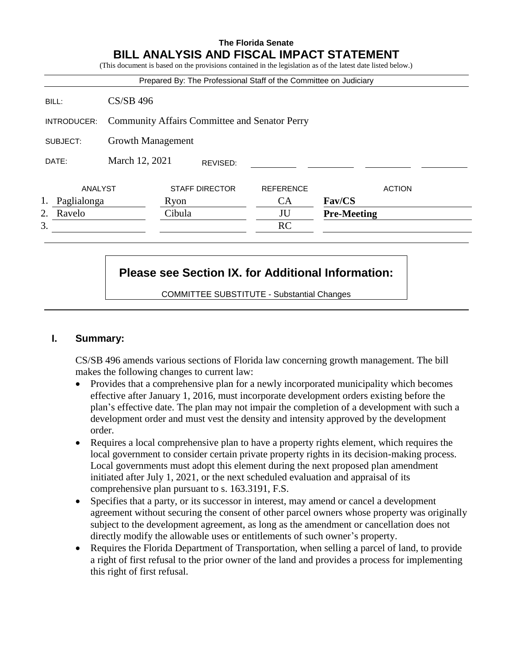# **The Florida Senate BILL ANALYSIS AND FISCAL IMPACT STATEMENT**

(This document is based on the provisions contained in the legislation as of the latest date listed below.)

|                   |                                                      | Prepared By: The Professional Staff of the Committee on Judiciary |                  |                    |
|-------------------|------------------------------------------------------|-------------------------------------------------------------------|------------------|--------------------|
| BILL:             | $CS/SB$ 496                                          |                                                                   |                  |                    |
| INTRODUCER:       | <b>Community Affairs Committee and Senator Perry</b> |                                                                   |                  |                    |
| SUBJECT:          | Growth Management                                    |                                                                   |                  |                    |
| DATE:             | March 12, 2021                                       | REVISED:                                                          |                  |                    |
| ANALYST           |                                                      | <b>STAFF DIRECTOR</b>                                             | <b>REFERENCE</b> | <b>ACTION</b>      |
| 1.<br>Paglialonga |                                                      | Ryon                                                              | <b>CA</b>        | Fav/CS             |
| 2.<br>Ravelo      |                                                      | Cibula                                                            | JU               | <b>Pre-Meeting</b> |
| 3.                |                                                      |                                                                   | <b>RC</b>        |                    |

# **Please see Section IX. for Additional Information:**

COMMITTEE SUBSTITUTE - Substantial Changes

# **I. Summary:**

CS/SB 496 amends various sections of Florida law concerning growth management. The bill makes the following changes to current law:

- Provides that a comprehensive plan for a newly incorporated municipality which becomes effective after January 1, 2016, must incorporate development orders existing before the plan's effective date. The plan may not impair the completion of a development with such a development order and must vest the density and intensity approved by the development order.
- Requires a local comprehensive plan to have a property rights element, which requires the local government to consider certain private property rights in its decision-making process. Local governments must adopt this element during the next proposed plan amendment initiated after July 1, 2021, or the next scheduled evaluation and appraisal of its comprehensive plan pursuant to s. 163.3191, F.S.
- Specifies that a party, or its successor in interest, may amend or cancel a development agreement without securing the consent of other parcel owners whose property was originally subject to the development agreement, as long as the amendment or cancellation does not directly modify the allowable uses or entitlements of such owner's property.
- Requires the Florida Department of Transportation, when selling a parcel of land, to provide a right of first refusal to the prior owner of the land and provides a process for implementing this right of first refusal.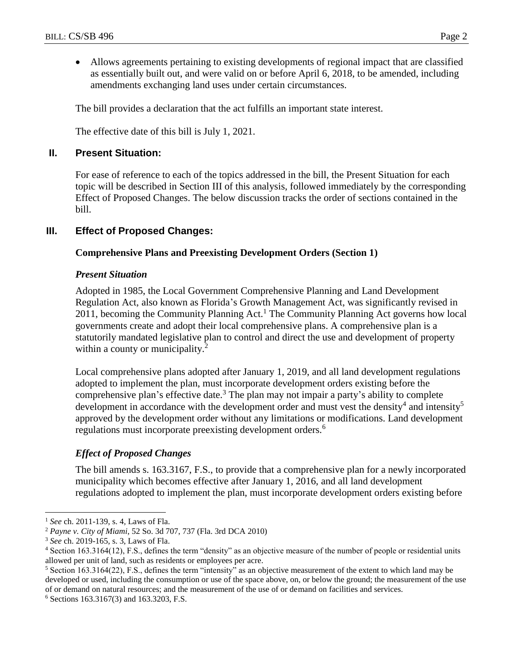Allows agreements pertaining to existing developments of regional impact that are classified as essentially built out, and were valid on or before April 6, 2018, to be amended, including amendments exchanging land uses under certain circumstances.

The bill provides a declaration that the act fulfills an important state interest.

The effective date of this bill is July 1, 2021.

### **II. Present Situation:**

For ease of reference to each of the topics addressed in the bill, the Present Situation for each topic will be described in Section III of this analysis, followed immediately by the corresponding Effect of Proposed Changes. The below discussion tracks the order of sections contained in the bill.

# **III. Effect of Proposed Changes:**

### **Comprehensive Plans and Preexisting Development Orders (Section 1)**

### *Present Situation*

Adopted in 1985, the Local Government Comprehensive Planning and Land Development Regulation Act, also known as Florida's Growth Management Act, was significantly revised in 2011, becoming the Community Planning Act.<sup>1</sup> The Community Planning Act governs how local governments create and adopt their local comprehensive plans. A comprehensive plan is a statutorily mandated legislative plan to control and direct the use and development of property within a county or municipality.<sup>2</sup>

Local comprehensive plans adopted after January 1, 2019, and all land development regulations adopted to implement the plan, must incorporate development orders existing before the comprehensive plan's effective date.<sup>3</sup> The plan may not impair a party's ability to complete development in accordance with the development order and must vest the density<sup>4</sup> and intensity<sup>5</sup> approved by the development order without any limitations or modifications. Land development regulations must incorporate preexisting development orders.<sup>6</sup>

# *Effect of Proposed Changes*

The bill amends s. 163.3167, F.S., to provide that a comprehensive plan for a newly incorporated municipality which becomes effective after January 1, 2016, and all land development regulations adopted to implement the plan, must incorporate development orders existing before

<sup>1</sup> *See* ch. 2011-139, s. 4*,* Laws of Fla.

<sup>2</sup> *Payne v. City of Miami*, 52 So. 3d 707, 737 (Fla. 3rd DCA 2010)

<sup>3</sup> *See* ch. 2019-165, s. 3, Laws of Fla.

<sup>4</sup> Section 163.3164(12), F.S., defines the term "density" as an objective measure of the number of people or residential units allowed per unit of land, such as residents or employees per acre.

<sup>5</sup> Section 163.3164(22), F.S., defines the term "intensity" as an objective measurement of the extent to which land may be developed or used, including the consumption or use of the space above, on, or below the ground; the measurement of the use of or demand on natural resources; and the measurement of the use of or demand on facilities and services.

<sup>6</sup> Sections 163.3167(3) and 163.3203, F.S.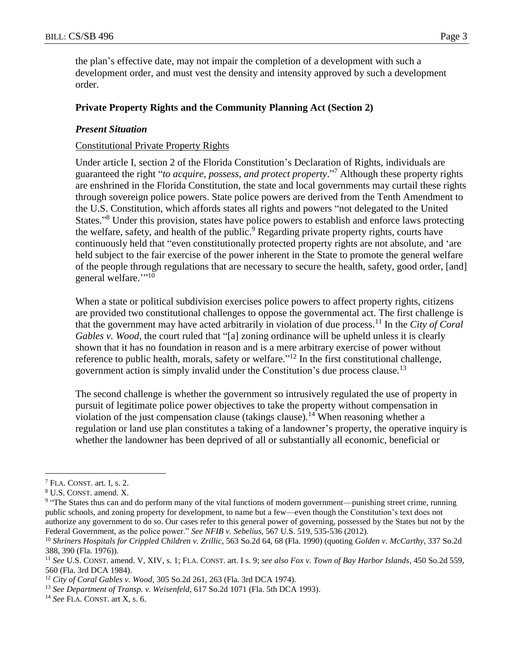the plan's effective date, may not impair the completion of a development with such a development order, and must vest the density and intensity approved by such a development order.

### **Private Property Rights and the Community Planning Act (Section 2)**

### *Present Situation*

### Constitutional Private Property Rights

Under article I, section 2 of the Florida Constitution's Declaration of Rights, individuals are guaranteed the right "*to acquire, possess, and protect property*." <sup>7</sup> Although these property rights are enshrined in the Florida Constitution, the state and local governments may curtail these rights through sovereign police powers. State police powers are derived from the Tenth Amendment to the U.S. Constitution, which affords states all rights and powers "not delegated to the United States."<sup>8</sup> Under this provision, states have police powers to establish and enforce laws protecting the welfare, safety, and health of the public.<sup>9</sup> Regarding private property rights, courts have continuously held that "even constitutionally protected property rights are not absolute, and 'are held subject to the fair exercise of the power inherent in the State to promote the general welfare of the people through regulations that are necessary to secure the health, safety, good order, [and] general welfare.""<sup>10</sup>

When a state or political subdivision exercises police powers to affect property rights, citizens are provided two constitutional challenges to oppose the governmental act. The first challenge is that the government may have acted arbitrarily in violation of due process.<sup>11</sup> In the *City of Coral Gables v. Wood*, the court ruled that "[a] zoning ordinance will be upheld unless it is clearly shown that it has no foundation in reason and is a mere arbitrary exercise of power without reference to public health, morals, safety or welfare."<sup>12</sup> In the first constitutional challenge, government action is simply invalid under the Constitution's due process clause.<sup>13</sup>

The second challenge is whether the government so intrusively regulated the use of property in pursuit of legitimate police power objectives to take the property without compensation in violation of the just compensation clause (takings clause).<sup>14</sup> When reasoning whether a regulation or land use plan constitutes a taking of a landowner's property, the operative inquiry is whether the landowner has been deprived of all or substantially all economic, beneficial or

<sup>7</sup> FLA. CONST. art. I, s. 2.

<sup>8</sup> U.S. CONST. amend. X.

<sup>&</sup>lt;sup>9</sup> "The States thus can and do perform many of the vital functions of modern government—punishing street crime, running public schools, and zoning property for development, to name but a few—even though the Constitution's text does not authorize any government to do so. Our cases refer to this general power of governing, possessed by the States but not by the Federal Government, as the police power." *See NFIB v. Sebelius*, 567 U.S. 519, 535-536 (2012).

<sup>10</sup> *Shriners Hospitals for Crippled Children v. Zrillic*, 563 So.2d 64, 68 (Fla. 1990) (quoting *Golden v. McCarthy*, 337 So.2d 388, 390 (Fla. 1976)).

<sup>11</sup> *See* U.S. CONST. amend. V, XIV, s. 1; FLA. CONST. art. I s. 9; *see also Fox v. Town of Bay Harbor Islands*, 450 So.2d 559, 560 (Fla. 3rd DCA 1984).

<sup>12</sup> *City of Coral Gables v. Wood*, 305 So.2d 261, 263 (Fla. 3rd DCA 1974).

<sup>13</sup> *See Department of Transp. v. Weisenfeld*, 617 So.2d 1071 (Fla. 5th DCA 1993).

<sup>14</sup> *See* FLA. CONST. art X, s. 6.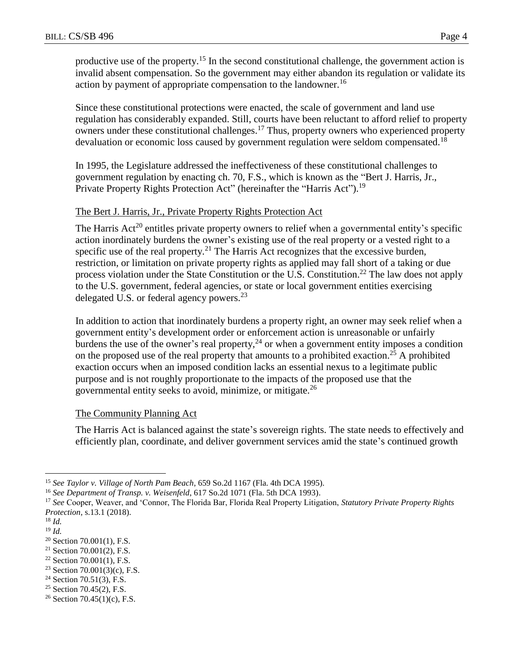productive use of the property.<sup>15</sup> In the second constitutional challenge, the government action is invalid absent compensation. So the government may either abandon its regulation or validate its action by payment of appropriate compensation to the landowner.<sup>16</sup>

Since these constitutional protections were enacted, the scale of government and land use regulation has considerably expanded. Still, courts have been reluctant to afford relief to property owners under these constitutional challenges.<sup>17</sup> Thus, property owners who experienced property devaluation or economic loss caused by government regulation were seldom compensated.<sup>18</sup>

In 1995, the Legislature addressed the ineffectiveness of these constitutional challenges to government regulation by enacting ch. 70, F.S., which is known as the "Bert J. Harris, Jr., Private Property Rights Protection Act" (hereinafter the "Harris Act").<sup>19</sup>

### The Bert J. Harris, Jr., Private Property Rights Protection Act

The Harris  $Act^{20}$  entitles private property owners to relief when a governmental entity's specific action inordinately burdens the owner's existing use of the real property or a vested right to a specific use of the real property.<sup>21</sup> The Harris Act recognizes that the excessive burden, restriction, or limitation on private property rights as applied may fall short of a taking or due process violation under the State Constitution or the U.S. Constitution.<sup>22</sup> The law does not apply to the U.S. government, federal agencies, or state or local government entities exercising delegated U.S. or federal agency powers.<sup>23</sup>

In addition to action that inordinately burdens a property right, an owner may seek relief when a government entity's development order or enforcement action is unreasonable or unfairly burdens the use of the owner's real property,  $24$  or when a government entity imposes a condition on the proposed use of the real property that amounts to a prohibited exaction.<sup>25</sup> A prohibited exaction occurs when an imposed condition lacks an essential nexus to a legitimate public purpose and is not roughly proportionate to the impacts of the proposed use that the governmental entity seeks to avoid, minimize, or mitigate. $^{26}$ 

### The Community Planning Act

The Harris Act is balanced against the state's sovereign rights. The state needs to effectively and efficiently plan, coordinate, and deliver government services amid the state's continued growth

 $\overline{a}$ 

<sup>25</sup> Section 70.45(2), F.S.

<sup>15</sup> *See Taylor v. Village of North Pam Beach*, 659 So.2d 1167 (Fla. 4th DCA 1995).

<sup>16</sup> *See Department of Transp. v. Weisenfeld*, 617 So.2d 1071 (Fla. 5th DCA 1993).

<sup>17</sup> *See* Cooper, Weaver, and 'Connor, The Florida Bar, Florida Real Property Litigation, *Statutory Private Property Rights Protection*, s.13.1 (2018).

<sup>18</sup> *Id.*

<sup>19</sup> *Id.*

<sup>20</sup> Section 70.001(1), F.S.

 $21$  Section 70.001(2), F.S.

 $22$  Section 70.001(1), F.S.

<sup>&</sup>lt;sup>23</sup> Section 70.001(3)(c), F.S.

 $24$  Section 70.51(3), F.S.

<sup>&</sup>lt;sup>26</sup> Section 70.45(1)(c), F.S.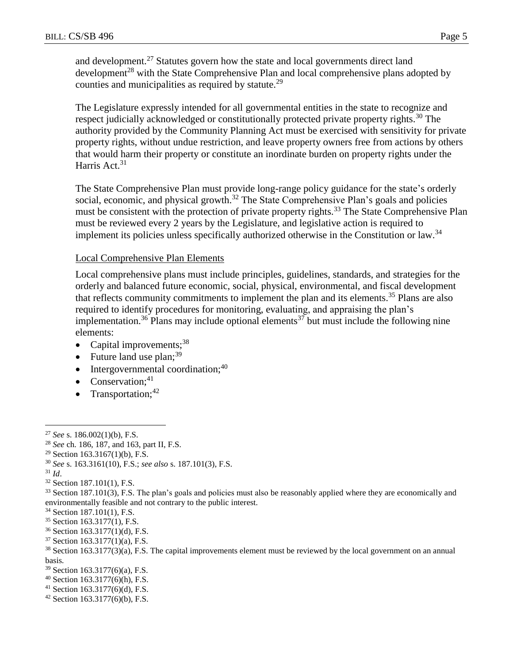and development.<sup>27</sup> Statutes govern how the state and local governments direct land development<sup>28</sup> with the State Comprehensive Plan and local comprehensive plans adopted by counties and municipalities as required by statute.<sup>29</sup>

The Legislature expressly intended for all governmental entities in the state to recognize and respect judicially acknowledged or constitutionally protected private property rights.<sup>30</sup> The authority provided by the Community Planning Act must be exercised with sensitivity for private property rights, without undue restriction, and leave property owners free from actions by others that would harm their property or constitute an inordinate burden on property rights under the Harris Act.<sup>31</sup>

The State Comprehensive Plan must provide long-range policy guidance for the state's orderly social, economic, and physical growth.<sup>32</sup> The State Comprehensive Plan's goals and policies must be consistent with the protection of private property rights.<sup>33</sup> The State Comprehensive Plan must be reviewed every 2 years by the Legislature, and legislative action is required to implement its policies unless specifically authorized otherwise in the Constitution or law.<sup>34</sup>

### Local Comprehensive Plan Elements

Local comprehensive plans must include principles, guidelines, standards, and strategies for the orderly and balanced future economic, social, physical, environmental, and fiscal development that reflects community commitments to implement the plan and its elements.<sup>35</sup> Plans are also required to identify procedures for monitoring, evaluating, and appraising the plan's implementation.<sup>36</sup> Plans may include optional elements<sup>37</sup> but must include the following nine elements:

- Capital improvements; $38$
- Future land use  $plan;^{39}$
- $\bullet$  Intergovernmental coordination;<sup>40</sup>
- Conservation; $41$
- Transportation; $42$

<sup>31</sup> *Id*.

 $\overline{a}$ 

<sup>32</sup> Section 187.101(1), F.S.

<sup>34</sup> Section 187.101(1), F.S.

- <sup>36</sup> Section 163.3177(1)(d), F.S.
- <sup>37</sup> Section 163.3177(1)(a), F.S.

- <sup>39</sup> Section 163.3177(6)(a), F.S.
- $40$  Section 163.3177(6)(h), F.S.
- <sup>41</sup> Section 163.3177(6)(d), F.S.
- $42$  Section 163.3177(6)(b), F.S.

<sup>27</sup> *See* s. 186.002(1)(b), F.S.

<sup>28</sup> *See* ch. 186, 187, and 163, part II, F.S.

<sup>&</sup>lt;sup>29</sup> Section 163.3167(1)(b), F.S.

<sup>30</sup> *See* s. 163.3161(10), F.S.; *see also* s. 187.101(3), F.S.

<sup>&</sup>lt;sup>33</sup> Section 187.101(3), F.S. The plan's goals and policies must also be reasonably applied where they are economically and environmentally feasible and not contrary to the public interest.

<sup>35</sup> Section 163.3177(1), F.S.

<sup>38</sup> Section 163.3177(3)(a), F.S. The capital improvements element must be reviewed by the local government on an annual basis.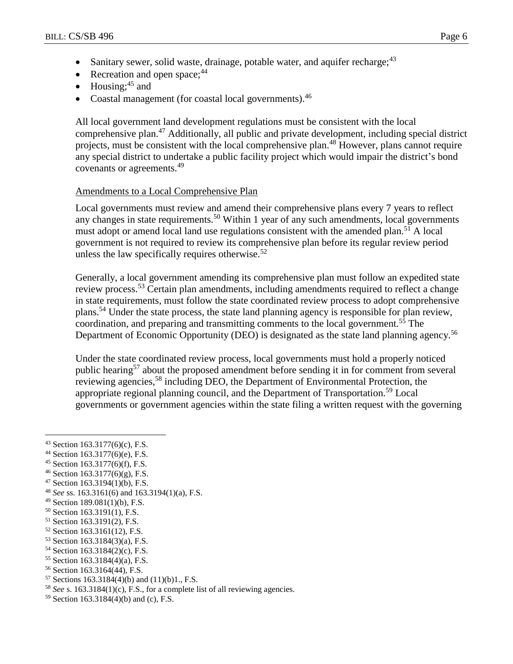- Sanitary sewer, solid waste, drainage, potable water, and aquifer recharge: <sup>43</sup>
- Recreation and open space;  $44$
- $\bullet$  Housing;<sup>45</sup> and
- Coastal management (for coastal local governments).<sup>46</sup>

All local government land development regulations must be consistent with the local comprehensive plan.<sup>47</sup> Additionally, all public and private development, including special district projects, must be consistent with the local comprehensive plan.<sup>48</sup> However, plans cannot require any special district to undertake a public facility project which would impair the district's bond covenants or agreements.<sup>49</sup>

### Amendments to a Local Comprehensive Plan

Local governments must review and amend their comprehensive plans every 7 years to reflect any changes in state requirements.<sup>50</sup> Within 1 year of any such amendments, local governments must adopt or amend local land use regulations consistent with the amended plan.<sup>51</sup> A local government is not required to review its comprehensive plan before its regular review period unless the law specifically requires otherwise. $52$ 

Generally, a local government amending its comprehensive plan must follow an expedited state review process.<sup>53</sup> Certain plan amendments, including amendments required to reflect a change in state requirements, must follow the state coordinated review process to adopt comprehensive plans.<sup>54</sup> Under the state process, the state land planning agency is responsible for plan review, coordination, and preparing and transmitting comments to the local government.<sup>55</sup> The Department of Economic Opportunity (DEO) is designated as the state land planning agency.<sup>56</sup>

Under the state coordinated review process, local governments must hold a properly noticed public hearing<sup>57</sup> about the proposed amendment before sending it in for comment from several reviewing agencies,<sup>58</sup> including DEO, the Department of Environmental Protection, the appropriate regional planning council, and the Department of Transportation.<sup>59</sup> Local governments or government agencies within the state filing a written request with the governing

- <sup>44</sup> Section 163.3177(6)(e), F.S.
- <sup>45</sup> Section 163.3177(6)(f), F.S.
- $46$  Section 163.3177(6)(g), F.S.
- <sup>47</sup> Section 163.3194(1)(b), F.S.
- <sup>48</sup> *See* ss. 163.3161(6) and 163.3194(1)(a), F.S.
- <sup>49</sup> Section 189.081(1)(b), F.S.
- <sup>50</sup> Section 163.3191(1), F.S.
- <sup>51</sup> Section 163.3191(2), F.S.
- <sup>52</sup> Section 163.3161(12), F.S.
- <sup>53</sup> Section 163.3184(3)(a), F.S.
- <sup>54</sup> Section 163.3184(2)(c), F.S.
- <sup>55</sup> Section 163.3184(4)(a), F.S.
- <sup>56</sup> Section 163.3164(44), F.S.
- $57$  Sections 163.3184(4)(b) and (11)(b)1, F.S.
- <sup>58</sup> *See* s. 163.3184(1)(c), F.S., for a complete list of all reviewing agencies.
- <sup>59</sup> Section 163.3184(4)(b) and (c), F.S.

<sup>43</sup> Section 163.3177(6)(c), F.S.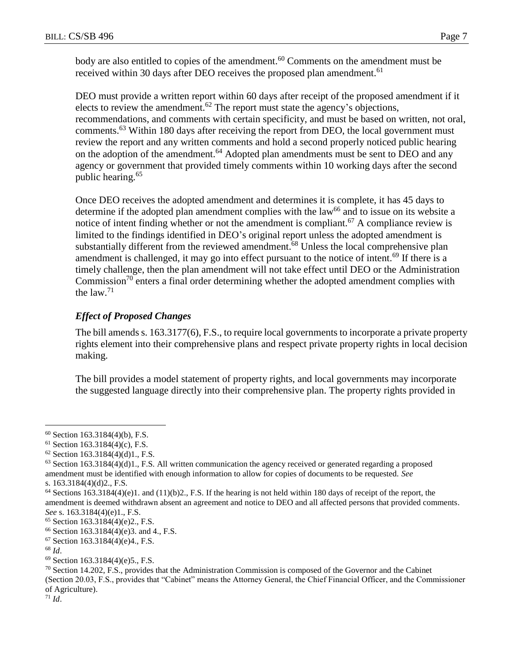body are also entitled to copies of the amendment.<sup>60</sup> Comments on the amendment must be received within 30 days after DEO receives the proposed plan amendment.<sup>61</sup>

DEO must provide a written report within 60 days after receipt of the proposed amendment if it elects to review the amendment.<sup>62</sup> The report must state the agency's objections, recommendations, and comments with certain specificity, and must be based on written, not oral, comments.<sup>63</sup> Within 180 days after receiving the report from DEO, the local government must review the report and any written comments and hold a second properly noticed public hearing on the adoption of the amendment.<sup>64</sup> Adopted plan amendments must be sent to DEO and any agency or government that provided timely comments within 10 working days after the second public hearing.<sup>65</sup>

Once DEO receives the adopted amendment and determines it is complete, it has 45 days to determine if the adopted plan amendment complies with the  $law<sup>66</sup>$  and to issue on its website a notice of intent finding whether or not the amendment is compliant.<sup>67</sup> A compliance review is limited to the findings identified in DEO's original report unless the adopted amendment is substantially different from the reviewed amendment.<sup>68</sup> Unless the local comprehensive plan amendment is challenged, it may go into effect pursuant to the notice of intent.<sup>69</sup> If there is a timely challenge, then the plan amendment will not take effect until DEO or the Administration Commission<sup>70</sup> enters a final order determining whether the adopted amendment complies with the law. $71$ 

# *Effect of Proposed Changes*

The bill amends s. 163.3177(6), F.S., to require local governments to incorporate a private property rights element into their comprehensive plans and respect private property rights in local decision making.

The bill provides a model statement of property rights, and local governments may incorporate the suggested language directly into their comprehensive plan. The property rights provided in

<sup>68</sup> *Id*.

 $\overline{a}$ 

 $71$  *Id.* 

 $60$  Section 163.3184(4)(b), F.S.

 $61$  Section 163.3184(4)(c), F.S.

 $62$  Section 163.3184(4)(d)1., F.S.

 $63$  Section 163.3184(4)(d)1., F.S. All written communication the agency received or generated regarding a proposed amendment must be identified with enough information to allow for copies of documents to be requested. *See* s. 163.3184(4)(d)2., F.S.

 $64$  Sections 163.3184(4)(e)1. and (11)(b)2., F.S. If the hearing is not held within 180 days of receipt of the report, the amendment is deemed withdrawn absent an agreement and notice to DEO and all affected persons that provided comments. *See* s. 163.3184(4)(e)1., F.S.

<sup>65</sup> Section 163.3184(4)(e)2., F.S.

<sup>66</sup> Section 163.3184(4)(e)3. and 4., F.S.

<sup>67</sup> Section 163.3184(4)(e)4., F.S.

<sup>69</sup> Section 163.3184(4)(e)5., F.S.

 $70$  Section 14.202, F.S., provides that the Administration Commission is composed of the Governor and the Cabinet (Section 20.03, F.S., provides that "Cabinet" means the Attorney General, the Chief Financial Officer, and the Commissioner of Agriculture).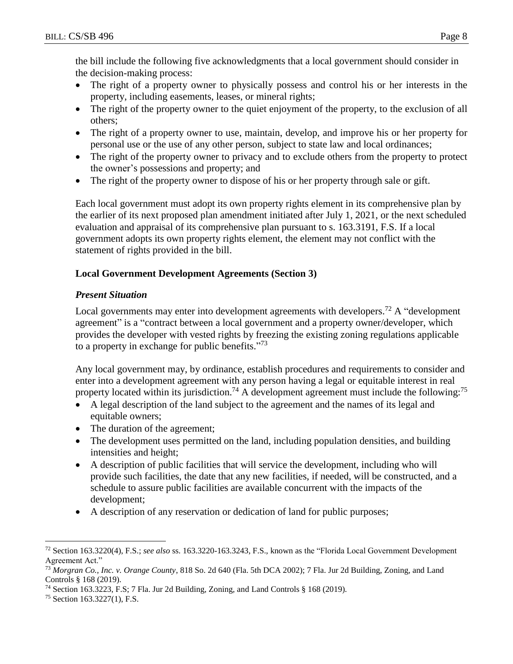the bill include the following five acknowledgments that a local government should consider in the decision-making process:

- The right of a property owner to physically possess and control his or her interests in the property, including easements, leases, or mineral rights;
- The right of the property owner to the quiet enjoyment of the property, to the exclusion of all others;
- The right of a property owner to use, maintain, develop, and improve his or her property for personal use or the use of any other person, subject to state law and local ordinances;
- The right of the property owner to privacy and to exclude others from the property to protect the owner's possessions and property; and
- The right of the property owner to dispose of his or her property through sale or gift.

Each local government must adopt its own property rights element in its comprehensive plan by the earlier of its next proposed plan amendment initiated after July 1, 2021, or the next scheduled evaluation and appraisal of its comprehensive plan pursuant to s. 163.3191, F.S. If a local government adopts its own property rights element, the element may not conflict with the statement of rights provided in the bill.

# **Local Government Development Agreements (Section 3)**

# *Present Situation*

Local governments may enter into development agreements with developers.<sup>72</sup> A "development agreement" is a "contract between a local government and a property owner/developer, which provides the developer with vested rights by freezing the existing zoning regulations applicable to a property in exchange for public benefits."<sup>73</sup>

Any local government may, by ordinance, establish procedures and requirements to consider and enter into a development agreement with any person having a legal or equitable interest in real property located within its jurisdiction.<sup>74</sup> A development agreement must include the following:<sup>75</sup>

- A legal description of the land subject to the agreement and the names of its legal and equitable owners;
- The duration of the agreement;
- The development uses permitted on the land, including population densities, and building intensities and height;
- A description of public facilities that will service the development, including who will provide such facilities, the date that any new facilities, if needed, will be constructed, and a schedule to assure public facilities are available concurrent with the impacts of the development;
- A description of any reservation or dedication of land for public purposes;

 $\overline{a}$ <sup>72</sup> Section 163.3220(4), F.S.; *see also* ss. 163.3220-163.3243, F.S., known as the "Florida Local Government Development Agreement Act."

<sup>73</sup> *Morgran Co., Inc. v. Orange County*, 818 So. 2d 640 (Fla. 5th DCA 2002); 7 Fla. Jur 2d Building, Zoning, and Land Controls § 168 (2019).

<sup>74</sup> Section 163.3223, F.S; 7 Fla. Jur 2d Building, Zoning, and Land Controls § 168 (2019).

<sup>75</sup> Section 163.3227(1), F.S.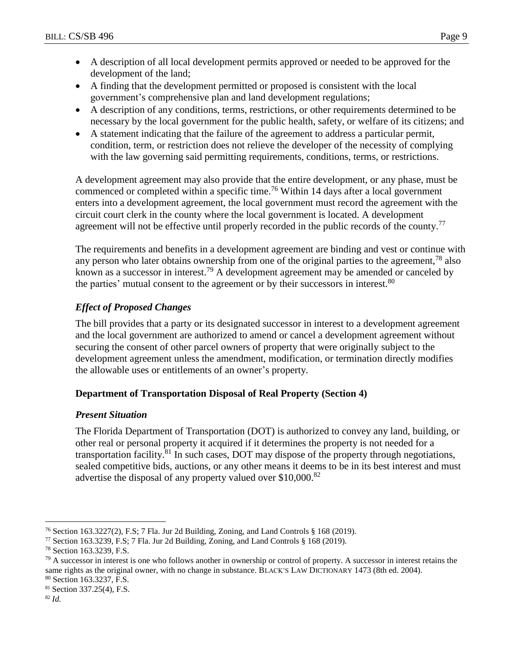- A description of all local development permits approved or needed to be approved for the development of the land;
- A finding that the development permitted or proposed is consistent with the local government's comprehensive plan and land development regulations;
- A description of any conditions, terms, restrictions, or other requirements determined to be necessary by the local government for the public health, safety, or welfare of its citizens; and
- A statement indicating that the failure of the agreement to address a particular permit, condition, term, or restriction does not relieve the developer of the necessity of complying with the law governing said permitting requirements, conditions, terms, or restrictions.

A development agreement may also provide that the entire development, or any phase, must be commenced or completed within a specific time.<sup>76</sup> Within 14 days after a local government enters into a development agreement, the local government must record the agreement with the circuit court clerk in the county where the local government is located. A development agreement will not be effective until properly recorded in the public records of the county.<sup>77</sup>

The requirements and benefits in a development agreement are binding and vest or continue with any person who later obtains ownership from one of the original parties to the agreement,<sup>78</sup> also known as a successor in interest.<sup>79</sup> A development agreement may be amended or canceled by the parties' mutual consent to the agreement or by their successors in interest.<sup>80</sup>

# *Effect of Proposed Changes*

The bill provides that a party or its designated successor in interest to a development agreement and the local government are authorized to amend or cancel a development agreement without securing the consent of other parcel owners of property that were originally subject to the development agreement unless the amendment, modification, or termination directly modifies the allowable uses or entitlements of an owner's property.

# **Department of Transportation Disposal of Real Property (Section 4)**

# *Present Situation*

The Florida Department of Transportation (DOT) is authorized to convey any land, building, or other real or personal property it acquired if it determines the property is not needed for a transportation facility.<sup>81</sup> In such cases, DOT may dispose of the property through negotiations, sealed competitive bids, auctions, or any other means it deems to be in its best interest and must advertise the disposal of any property valued over \$10,000.<sup>82</sup>

<sup>76</sup> Section 163.3227(2), F.S; 7 Fla. Jur 2d Building, Zoning, and Land Controls § 168 (2019).

<sup>&</sup>lt;sup>77</sup> Section 163.3239, F.S; 7 Fla. Jur 2d Building, Zoning, and Land Controls  $\S$  168 (2019).

<sup>78</sup> Section 163.3239, F.S.

 $79$  A successor in interest is one who follows another in ownership or control of property. A successor in interest retains the same rights as the original owner, with no change in substance. BLACK'S LAW DICTIONARY 1473 (8th ed. 2004). <sup>80</sup> Section 163.3237, F.S.

<sup>81</sup> Section 337.25(4), F.S.

<sup>82</sup> *Id.*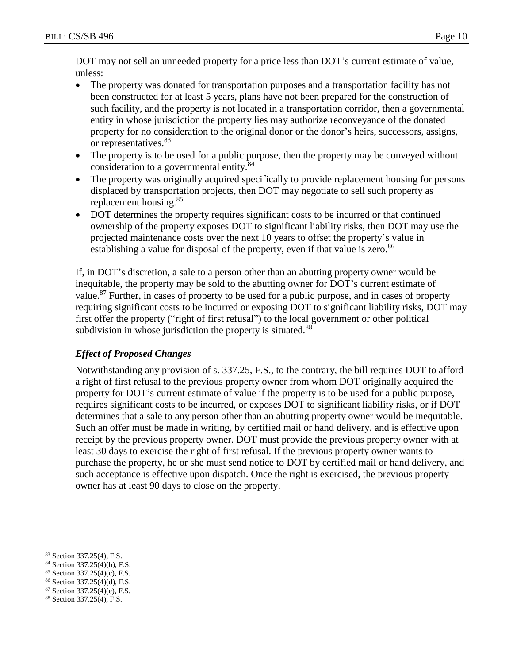DOT may not sell an unneeded property for a price less than DOT's current estimate of value, unless:

- The property was donated for transportation purposes and a transportation facility has not been constructed for at least 5 years, plans have not been prepared for the construction of such facility, and the property is not located in a transportation corridor, then a governmental entity in whose jurisdiction the property lies may authorize reconveyance of the donated property for no consideration to the original donor or the donor's heirs, successors, assigns, or representatives.<sup>83</sup>
- The property is to be used for a public purpose, then the property may be conveyed without consideration to a governmental entity.<sup>84</sup>
- The property was originally acquired specifically to provide replacement housing for persons displaced by transportation projects, then DOT may negotiate to sell such property as replacement housing.<sup>85</sup>
- DOT determines the property requires significant costs to be incurred or that continued ownership of the property exposes DOT to significant liability risks, then DOT may use the projected maintenance costs over the next 10 years to offset the property's value in establishing a value for disposal of the property, even if that value is zero.<sup>86</sup>

If, in DOT's discretion, a sale to a person other than an abutting property owner would be inequitable, the property may be sold to the abutting owner for DOT's current estimate of value.<sup>87</sup> Further, in cases of property to be used for a public purpose, and in cases of property requiring significant costs to be incurred or exposing DOT to significant liability risks, DOT may first offer the property ("right of first refusal") to the local government or other political subdivision in whose jurisdiction the property is situated.<sup>88</sup>

# *Effect of Proposed Changes*

Notwithstanding any provision of s. 337.25, F.S., to the contrary, the bill requires DOT to afford a right of first refusal to the previous property owner from whom DOT originally acquired the property for DOT's current estimate of value if the property is to be used for a public purpose, requires significant costs to be incurred, or exposes DOT to significant liability risks, or if DOT determines that a sale to any person other than an abutting property owner would be inequitable. Such an offer must be made in writing, by certified mail or hand delivery, and is effective upon receipt by the previous property owner. DOT must provide the previous property owner with at least 30 days to exercise the right of first refusal. If the previous property owner wants to purchase the property, he or she must send notice to DOT by certified mail or hand delivery, and such acceptance is effective upon dispatch. Once the right is exercised, the previous property owner has at least 90 days to close on the property.

 $\overline{a}$ <sup>83</sup> Section 337.25(4), F.S.

<sup>84</sup> Section 337.25(4)(b), F.S.

<sup>85</sup> Section 337.25(4)(c), F.S.

<sup>86</sup> Section 337.25(4)(d), F.S.

<sup>87</sup> Section 337.25(4)(e), F.S.

<sup>88</sup> Section 337.25(4), F.S.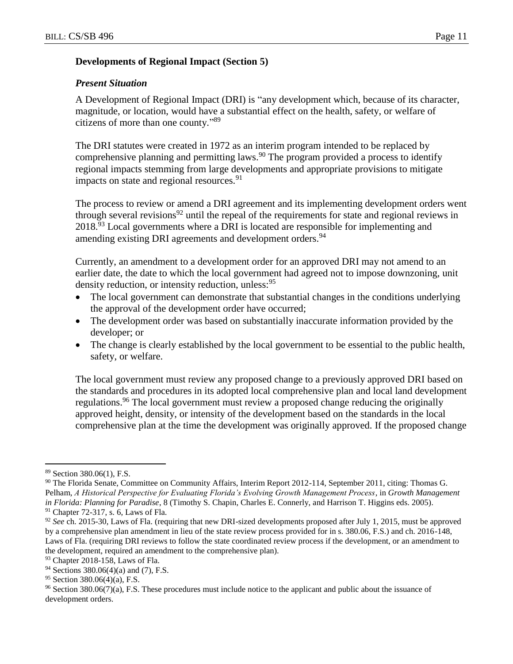### **Developments of Regional Impact (Section 5)**

### *Present Situation*

A Development of Regional Impact (DRI) is "any development which, because of its character, magnitude, or location, would have a substantial effect on the health, safety, or welfare of citizens of more than one county." 89

The DRI statutes were created in 1972 as an interim program intended to be replaced by comprehensive planning and permitting laws.<sup>90</sup> The program provided a process to identify regional impacts stemming from large developments and appropriate provisions to mitigate impacts on state and regional resources.  $91$ 

The process to review or amend a DRI agreement and its implementing development orders went through several revisions<sup>92</sup> until the repeal of the requirements for state and regional reviews in 2018.<sup>93</sup> Local governments where a DRI is located are responsible for implementing and amending existing DRI agreements and development orders.<sup>94</sup>

Currently, an amendment to a development order for an approved DRI may not amend to an earlier date, the date to which the local government had agreed not to impose downzoning, unit density reduction, or intensity reduction, unless: <sup>95</sup>

- The local government can demonstrate that substantial changes in the conditions underlying the approval of the development order have occurred;
- The development order was based on substantially inaccurate information provided by the developer; or
- The change is clearly established by the local government to be essential to the public health, safety, or welfare.

The local government must review any proposed change to a previously approved DRI based on the standards and procedures in its adopted local comprehensive plan and local land development regulations.<sup>96</sup> The local government must review a proposed change reducing the originally approved height, density, or intensity of the development based on the standards in the local comprehensive plan at the time the development was originally approved. If the proposed change

<sup>89</sup> Section 380.06(1), F.S.

<sup>90</sup> The Florida Senate, Committee on Community Affairs, Interim Report 2012-114, September 2011, citing: Thomas G. Pelham, *A Historical Perspective for Evaluating Florida's Evolving Growth Management Process*, in *Growth Management in Florida: Planning for Paradise*, 8 (Timothy S. Chapin, Charles E. Connerly, and Harrison T. Higgins eds. 2005).  $91$  Chapter 72-317, s. 6, Laws of Fla.

<sup>92</sup> *See* ch. 2015-30, Laws of Fla. (requiring that new DRI-sized developments proposed after July 1, 2015, must be approved by a comprehensive plan amendment in lieu of the state review process provided for in s. 380.06, F.S.) and ch. 2016-148, Laws of Fla. (requiring DRI reviews to follow the state coordinated review process if the development, or an amendment to the development, required an amendment to the comprehensive plan).

<sup>93</sup> Chapter 2018-158, Laws of Fla.

<sup>94</sup> Sections 380.06(4)(a) and (7), F.S.

<sup>95</sup> Section 380.06(4)(a), F.S.

<sup>96</sup> Section 380.06(7)(a), F.S. These procedures must include notice to the applicant and public about the issuance of development orders.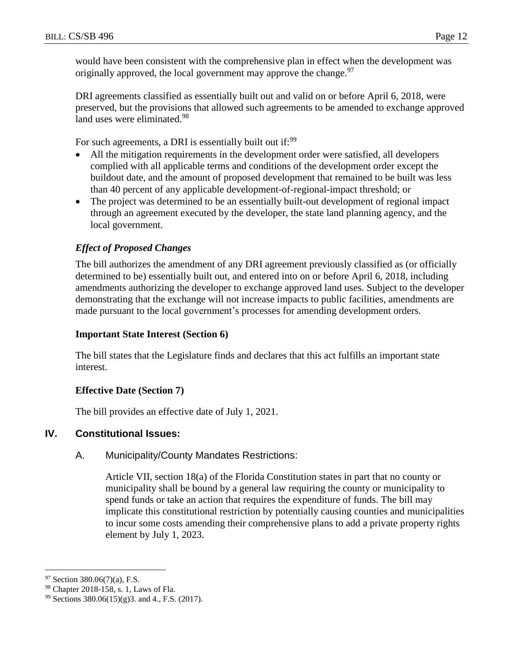would have been consistent with the comprehensive plan in effect when the development was originally approved, the local government may approve the change.<sup>97</sup>

DRI agreements classified as essentially built out and valid on or before April 6, 2018, were preserved, but the provisions that allowed such agreements to be amended to exchange approved land uses were eliminated.<sup>98</sup>

For such agreements, a DRI is essentially built out if:<sup>99</sup>

- All the mitigation requirements in the development order were satisfied, all developers complied with all applicable terms and conditions of the development order except the buildout date, and the amount of proposed development that remained to be built was less than 40 percent of any applicable development-of-regional-impact threshold; or
- The project was determined to be an essentially built-out development of regional impact through an agreement executed by the developer, the state land planning agency, and the local government.

# *Effect of Proposed Changes*

The bill authorizes the amendment of any DRI agreement previously classified as (or officially determined to be) essentially built out, and entered into on or before April 6, 2018, including amendments authorizing the developer to exchange approved land uses. Subject to the developer demonstrating that the exchange will not increase impacts to public facilities, amendments are made pursuant to the local government's processes for amending development orders.

### **Important State Interest (Section 6)**

The bill states that the Legislature finds and declares that this act fulfills an important state interest.

### **Effective Date (Section 7)**

The bill provides an effective date of July 1, 2021.

# **IV. Constitutional Issues:**

### A. Municipality/County Mandates Restrictions:

Article VII, section 18(a) of the Florida Constitution states in part that no county or municipality shall be bound by a general law requiring the county or municipality to spend funds or take an action that requires the expenditure of funds. The bill may implicate this constitutional restriction by potentially causing counties and municipalities to incur some costs amending their comprehensive plans to add a private property rights element by July 1, 2023.

 $97$  Section 380.06(7)(a), F.S.

<sup>98</sup> Chapter 2018-158, s. 1, Laws of Fla.

<sup>99</sup> Sections 380.06(15)(g)3. and 4., F.S. (2017).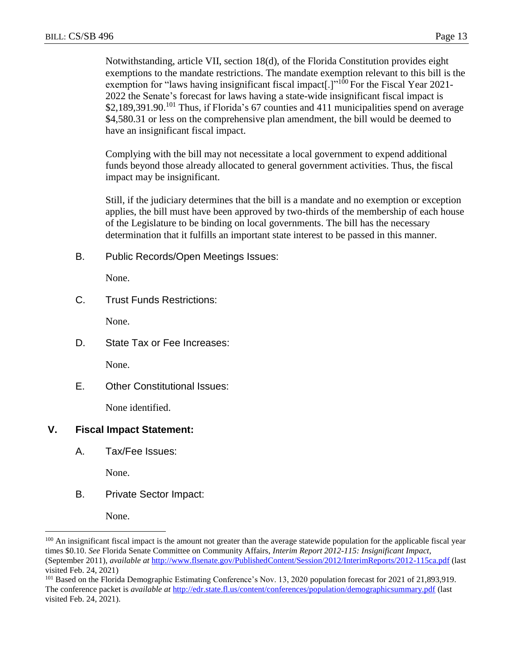Notwithstanding, article VII, section 18(d), of the Florida Constitution provides eight exemptions to the mandate restrictions. The mandate exemption relevant to this bill is the exemption for "laws having insignificant fiscal impact.] $1^{100}$  For the Fiscal Year 2021-2022 the Senate's forecast for laws having a state-wide insignificant fiscal impact is \$2,189,391.90.<sup>101</sup> Thus, if Florida's 67 counties and 411 municipalities spend on average \$4,580.31 or less on the comprehensive plan amendment, the bill would be deemed to have an insignificant fiscal impact.

Complying with the bill may not necessitate a local government to expend additional funds beyond those already allocated to general government activities. Thus, the fiscal impact may be insignificant.

Still, if the judiciary determines that the bill is a mandate and no exemption or exception applies, the bill must have been approved by two-thirds of the membership of each house of the Legislature to be binding on local governments. The bill has the necessary determination that it fulfills an important state interest to be passed in this manner.

B. Public Records/Open Meetings Issues:

None.

C. Trust Funds Restrictions:

None.

D. State Tax or Fee Increases:

None.

E. Other Constitutional Issues:

None identified.

# **V. Fiscal Impact Statement:**

A. Tax/Fee Issues:

None.

B. Private Sector Impact:

None.

<sup>&</sup>lt;sup>100</sup> An insignificant fiscal impact is the amount not greater than the average statewide population for the applicable fiscal year times \$0.10. *See* Florida Senate Committee on Community Affairs, *Interim Report 2012-115: Insignificant Impact*, (September 2011), *available at* <http://www.flsenate.gov/PublishedContent/Session/2012/InterimReports/2012-115ca.pdf> (last visited Feb. 24, 2021)

<sup>101</sup> Based on the Florida Demographic Estimating Conference's Nov. 13, 2020 population forecast for 2021 of 21,893,919. The conference packet is *available at* <http://edr.state.fl.us/content/conferences/population/demographicsummary.pdf> (last visited Feb. 24, 2021).